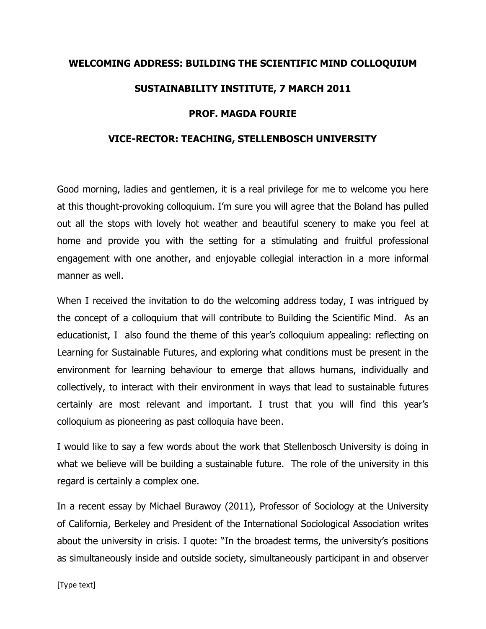## WELCOMING ADDRESS: BUILDING THE SCIENTIFIC MIND COLLOQUIUM SUSTAINABILITY INSTITUTE, 7 MARCH 2011 PROF. MAGDA FOURIE

## VICE-RECTOR: TEACHING, STELLENBOSCH UNIVERSITY

Good morning, ladies and gentlemen, it is a real privilege for me to welcome you here at this thought-provoking colloquium. I'm sure you will agree that the Boland has pulled out all the stops with lovely hot weather and beautiful scenery to make you feel at home and provide you with the setting for a stimulating and fruitful professional engagement with one another, and enjoyable collegial interaction in a more informal manner as well.

When I received the invitation to do the welcoming address today, I was intrigued by the concept of a colloquium that will contribute to Building the Scientific Mind. As an educationist, I also found the theme of this year's colloquium appealing: reflecting on Learning for Sustainable Futures, and exploring what conditions must be present in the environment for learning behaviour to emerge that allows humans, individually and collectively, to interact with their environment in ways that lead to sustainable futures certainly are most relevant and important. I trust that you will find this year's colloquium as pioneering as past colloquia have been.

I would like to say a few words about the work that Stellenbosch University is doing in what we believe will be building a sustainable future. The role of the university in this regard is certainly a complex one.

In a recent essay by Michael Burawoy (2011), Professor of Sociology at the University of California, Berkeley and President of the International Sociological Association writes about the university in crisis. I quote: "In the broadest terms, the university's positions as simultaneously inside and outside society, simultaneously participant in and observer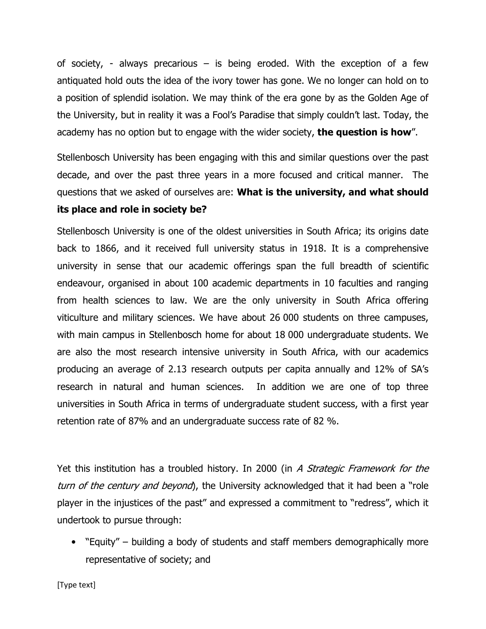of society, - always precarious  $-$  is being eroded. With the exception of a few antiquated hold outs the idea of the ivory tower has gone. We no longer can hold on to a position of splendid isolation. We may think of the era gone by as the Golden Age of the University, but in reality it was a Fool's Paradise that simply couldn't last. Today, the academy has no option but to engage with the wider society, the question is how".

Stellenbosch University has been engaging with this and similar questions over the past decade, and over the past three years in a more focused and critical manner. The questions that we asked of ourselves are: What is the university, and what should its place and role in society be?

Stellenbosch University is one of the oldest universities in South Africa; its origins date back to 1866, and it received full university status in 1918. It is a comprehensive university in sense that our academic offerings span the full breadth of scientific endeavour, organised in about 100 academic departments in 10 faculties and ranging from health sciences to law. We are the only university in South Africa offering viticulture and military sciences. We have about 26 000 students on three campuses, with main campus in Stellenbosch home for about 18 000 undergraduate students. We are also the most research intensive university in South Africa, with our academics producing an average of 2.13 research outputs per capita annually and 12% of SA's research in natural and human sciences. In addition we are one of top three universities in South Africa in terms of undergraduate student success, with a first year retention rate of 87% and an undergraduate success rate of 82 %.

Yet this institution has a troubled history. In 2000 (in A Strategic Framework for the turn of the century and beyond), the University acknowledged that it had been a "role player in the injustices of the past" and expressed a commitment to "redress", which it undertook to pursue through:

• "Equity" – building a body of students and staff members demographically more representative of society; and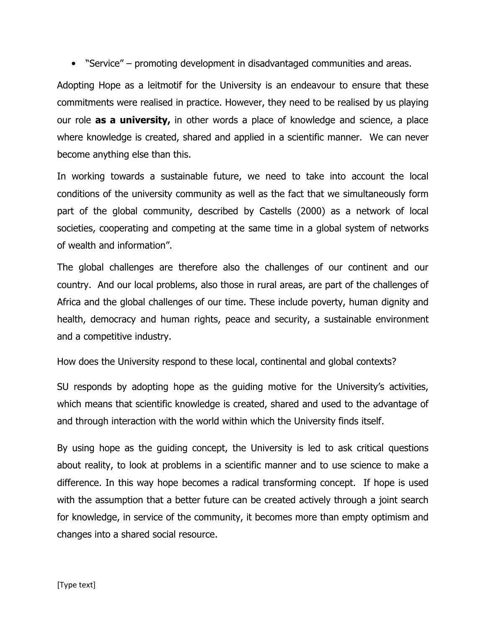• "Service" – promoting development in disadvantaged communities and areas.

Adopting Hope as a leitmotif for the University is an endeavour to ensure that these commitments were realised in practice. However, they need to be realised by us playing our role **as a university,** in other words a place of knowledge and science, a place where knowledge is created, shared and applied in a scientific manner. We can never become anything else than this.

In working towards a sustainable future, we need to take into account the local conditions of the university community as well as the fact that we simultaneously form part of the global community, described by Castells (2000) as a network of local societies, cooperating and competing at the same time in a global system of networks of wealth and information".

The global challenges are therefore also the challenges of our continent and our country. And our local problems, also those in rural areas, are part of the challenges of Africa and the global challenges of our time. These include poverty, human dignity and health, democracy and human rights, peace and security, a sustainable environment and a competitive industry.

How does the University respond to these local, continental and global contexts?

SU responds by adopting hope as the guiding motive for the University's activities, which means that scientific knowledge is created, shared and used to the advantage of and through interaction with the world within which the University finds itself.

By using hope as the guiding concept, the University is led to ask critical questions about reality, to look at problems in a scientific manner and to use science to make a difference. In this way hope becomes a radical transforming concept. If hope is used with the assumption that a better future can be created actively through a joint search for knowledge, in service of the community, it becomes more than empty optimism and changes into a shared social resource.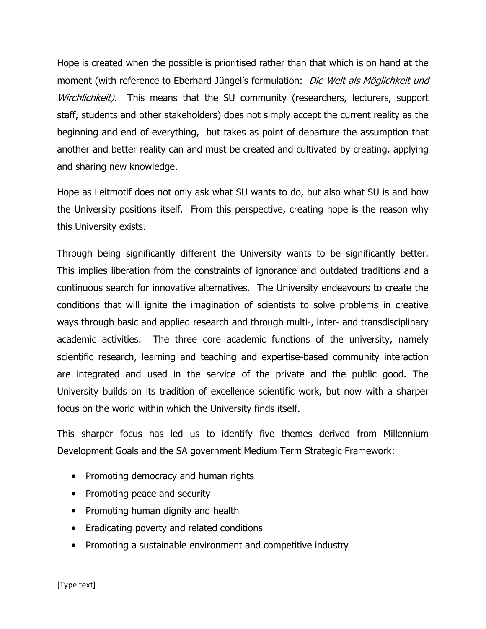Hope is created when the possible is prioritised rather than that which is on hand at the moment (with reference to Eberhard Jüngel's formulation: Die Welt als Möglichkeit und Wirchlichkeit). This means that the SU community (researchers, lecturers, support staff, students and other stakeholders) does not simply accept the current reality as the beginning and end of everything, but takes as point of departure the assumption that another and better reality can and must be created and cultivated by creating, applying and sharing new knowledge.

Hope as Leitmotif does not only ask what SU wants to do, but also what SU is and how the University positions itself. From this perspective, creating hope is the reason why this University exists.

Through being significantly different the University wants to be significantly better. This implies liberation from the constraints of ignorance and outdated traditions and a continuous search for innovative alternatives. The University endeavours to create the conditions that will ignite the imagination of scientists to solve problems in creative ways through basic and applied research and through multi-, inter- and transdisciplinary academic activities. The three core academic functions of the university, namely scientific research, learning and teaching and expertise-based community interaction are integrated and used in the service of the private and the public good. The University builds on its tradition of excellence scientific work, but now with a sharper focus on the world within which the University finds itself.

This sharper focus has led us to identify five themes derived from Millennium Development Goals and the SA government Medium Term Strategic Framework:

- Promoting democracy and human rights
- Promoting peace and security
- Promoting human dignity and health
- Eradicating poverty and related conditions
- Promoting a sustainable environment and competitive industry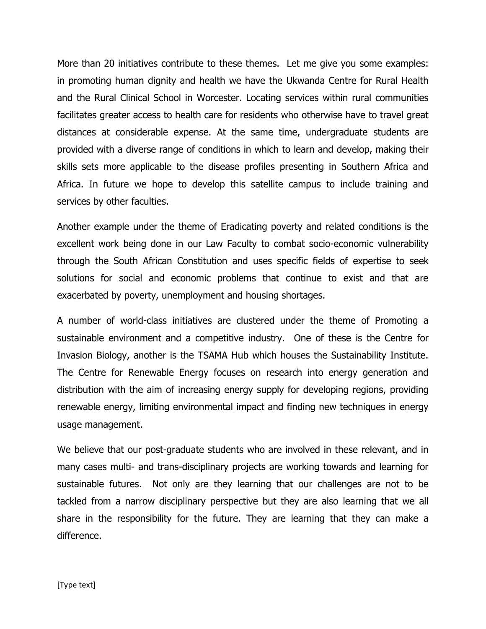More than 20 initiatives contribute to these themes. Let me give you some examples: in promoting human dignity and health we have the Ukwanda Centre for Rural Health and the Rural Clinical School in Worcester. Locating services within rural communities facilitates greater access to health care for residents who otherwise have to travel great distances at considerable expense. At the same time, undergraduate students are provided with a diverse range of conditions in which to learn and develop, making their skills sets more applicable to the disease profiles presenting in Southern Africa and Africa. In future we hope to develop this satellite campus to include training and services by other faculties.

Another example under the theme of Eradicating poverty and related conditions is the excellent work being done in our Law Faculty to combat socio-economic vulnerability through the South African Constitution and uses specific fields of expertise to seek solutions for social and economic problems that continue to exist and that are exacerbated by poverty, unemployment and housing shortages.

A number of world-class initiatives are clustered under the theme of Promoting a sustainable environment and a competitive industry. One of these is the Centre for Invasion Biology, another is the TSAMA Hub which houses the Sustainability Institute. The Centre for Renewable Energy focuses on research into energy generation and distribution with the aim of increasing energy supply for developing regions, providing renewable energy, limiting environmental impact and finding new techniques in energy usage management.

We believe that our post-graduate students who are involved in these relevant, and in many cases multi- and trans-disciplinary projects are working towards and learning for sustainable futures. Not only are they learning that our challenges are not to be tackled from a narrow disciplinary perspective but they are also learning that we all share in the responsibility for the future. They are learning that they can make a difference.